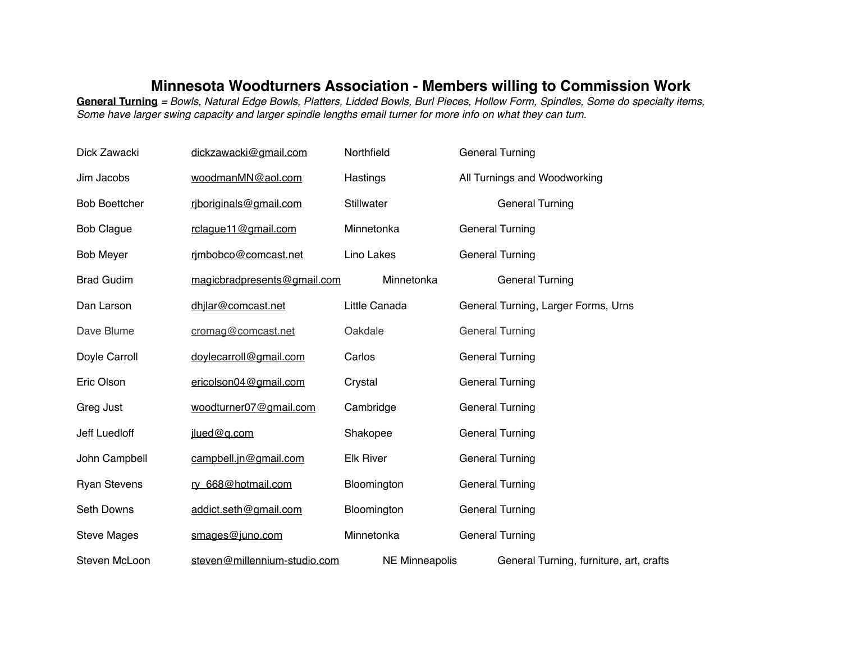## **Minnesota Woodturners Association - Members willing to Commission Work**

**General Turning** *= Bowls, Natural Edge Bowls, Platters, Lidded Bowls, Burl Pieces, Hollow Form, Spindles, Some do specialty items, Some have larger swing capacity and larger spindle lengths email turner for more info on what they can turn.*

| Dick Zawacki         | dickzawacki@gmail.com        | Northfield            | <b>General Turning</b>                  |
|----------------------|------------------------------|-----------------------|-----------------------------------------|
| Jim Jacobs           | woodmanMN@aol.com            | Hastings              | All Turnings and Woodworking            |
| <b>Bob Boettcher</b> | rjboriginals@gmail.com       | <b>Stillwater</b>     | <b>General Turning</b>                  |
| <b>Bob Clague</b>    | rclague11@gmail.com          | Minnetonka            | <b>General Turning</b>                  |
| <b>Bob Meyer</b>     | rimbobco@comcast.net         | Lino Lakes            | <b>General Turning</b>                  |
| <b>Brad Gudim</b>    | magicbradpresents@gmail.com  | Minnetonka            | <b>General Turning</b>                  |
| Dan Larson           | dhjlar@comcast.net           | Little Canada         | General Turning, Larger Forms, Urns     |
| Dave Blume           | cromag@comcast.net           | Oakdale               | <b>General Turning</b>                  |
| Doyle Carroll        | doylecarroll@gmail.com       | Carlos                | <b>General Turning</b>                  |
| Eric Olson           | ericolson04@gmail.com        | Crystal               | <b>General Turning</b>                  |
| Greg Just            | woodturner07@gmail.com       | Cambridge             | <b>General Turning</b>                  |
| Jeff Luedloff        | jlued@q.com                  | Shakopee              | <b>General Turning</b>                  |
| John Campbell        | campbell.jn@gmail.com        | <b>Elk River</b>      | <b>General Turning</b>                  |
| <b>Ryan Stevens</b>  | ry_668@hotmail.com           | Bloomington           | <b>General Turning</b>                  |
| <b>Seth Downs</b>    | addict.seth@gmail.com        | Bloomington           | <b>General Turning</b>                  |
| <b>Steve Mages</b>   | smages@juno.com              | Minnetonka            | <b>General Turning</b>                  |
| Steven McLoon        | steven@millennium-studio.com | <b>NE Minneapolis</b> | General Turning, furniture, art, crafts |